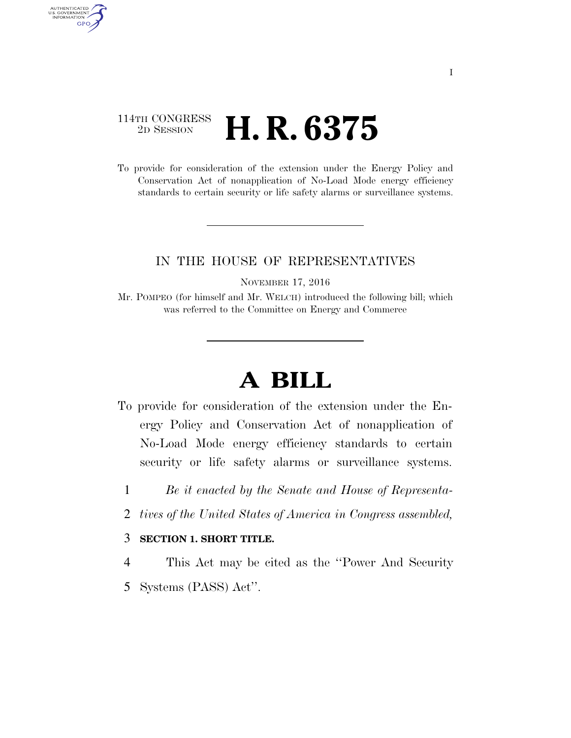## 114TH CONGRESS <sup>2D SESSION</sup> **H. R. 6375**

AUTHENTICATED<br>U.S. GOVERNMENT<br>INFORMATION GPO

> To provide for consideration of the extension under the Energy Policy and Conservation Act of nonapplication of No-Load Mode energy efficiency standards to certain security or life safety alarms or surveillance systems.

## IN THE HOUSE OF REPRESENTATIVES

NOVEMBER 17, 2016

Mr. POMPEO (for himself and Mr. WELCH) introduced the following bill; which was referred to the Committee on Energy and Commerce

## **A BILL**

- To provide for consideration of the extension under the Energy Policy and Conservation Act of nonapplication of No-Load Mode energy efficiency standards to certain security or life safety alarms or surveillance systems.
	- 1 *Be it enacted by the Senate and House of Representa-*
	- 2 *tives of the United States of America in Congress assembled,*

## 3 **SECTION 1. SHORT TITLE.**

4 This Act may be cited as the ''Power And Security

5 Systems (PASS) Act''.